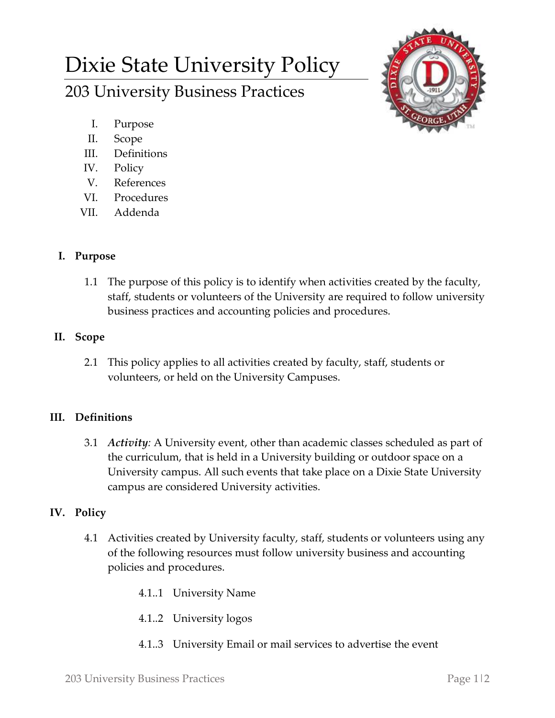# Dixie State University Policy

203 University Business Practices



- I. Purpose
- II. Scope
- III. Definitions
- IV. Policy
- V. References
- VI. Procedures
- VII. Addenda

## **I. Purpose**

1.1 The purpose of this policy is to identify when activities created by the faculty, staff, students or volunteers of the University are required to follow university business practices and accounting policies and procedures.

## **II. Scope**

2.1 This policy applies to all activities created by faculty, staff, students or volunteers, or held on the University Campuses.

## **III. Definitions**

3.1 *Activity:* A University event, other than academic classes scheduled as part of the curriculum, that is held in a University building or outdoor space on a University campus. All such events that take place on a Dixie State University campus are considered University activities.

## **IV. Policy**

- 4.1 Activities created by University faculty, staff, students or volunteers using any of the following resources must follow university business and accounting policies and procedures.
	- 4.1..1 University Name
	- 4.1..2 University logos
	- 4.1..3 University Email or mail services to advertise the event